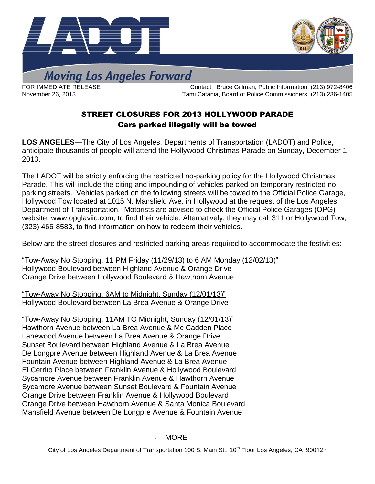



**Moving Los Angeles Forward** 

FOR IMMEDIATE RELEASE **Contact: Bruce Gillman, Public Information**, (213) 972-8406 November 26, 2013 Tami Catania, Board of Police Commissioners, (213) 236-1405

## STREET CLOSURES FOR 2013 HOLLYWOOD PARADE Cars parked illegally will be towed

**LOS ANGELES**—The City of Los Angeles, Departments of Transportation (LADOT) and Police, anticipate thousands of people will attend the Hollywood Christmas Parade on Sunday, December 1, 2013.

The LADOT will be strictly enforcing the restricted no-parking policy for the Hollywood Christmas Parade. This will include the citing and impounding of vehicles parked on temporary restricted noparking streets. Vehicles parked on the following streets will be towed to the Official Police Garage, Hollywood Tow located at 1015 N. Mansfield Ave. in Hollywood at the request of the Los Angeles Department of Transportation. Motorists are advised to check the Official Police Garages (OPG) website, [www.opglaviic.com,](http://www.opglaviic.com/) to find their vehicle. Alternatively, they may call 311 or Hollywood Tow, (323) 466-8583, to find information on how to redeem their vehicles.

Below are the street closures and restricted parking areas required to accommodate the festivities:

"Tow-Away No Stopping, 11 PM Friday (11/29/13) to 6 AM Monday (12/02/13)" Hollywood Boulevard between Highland Avenue & Orange Drive Orange Drive between Hollywood Boulevard & Hawthorn Avenue

"Tow-Away No Stopping, 6AM to Midnight, Sunday (12/01/13)" Hollywood Boulevard between La Brea Avenue & Orange Drive

"Tow-Away No Stopping, 11AM TO Midnight, Sunday (12/01/13)" Hawthorn Avenue between La Brea Avenue & Mc Cadden Place Lanewood Avenue between La Brea Avenue & Orange Drive Sunset Boulevard between Highland Avenue & La Brea Avenue De Longpre Avenue between Highland Avenue & La Brea Avenue Fountain Avenue between Highland Avenue & La Brea Avenue El Cerrito Place between Franklin Avenue & Hollywood Boulevard Sycamore Avenue between Franklin Avenue & Hawthorn Avenue Sycamore Avenue between Sunset Boulevard & Fountain Avenue Orange Drive between Franklin Avenue & Hollywood Boulevard Orange Drive between Hawthorn Avenue & Santa Monica Boulevard Mansfield Avenue between De Longpre Avenue & Fountain Avenue

- MORE -